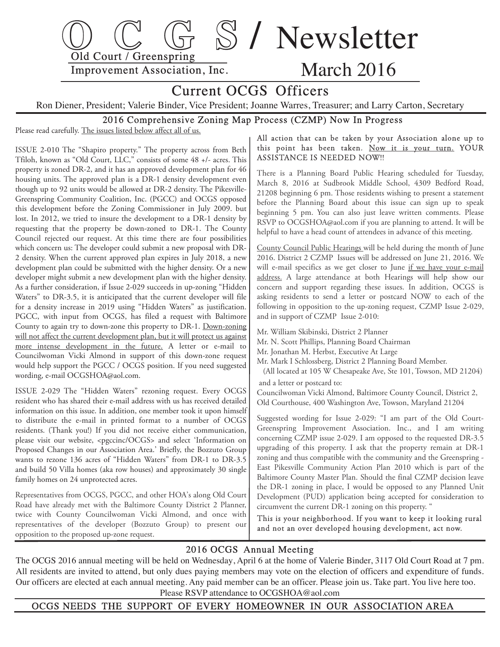

# Current OCGS Officers

Ron Diener, President; Valerie Binder, Vice President; Joanne Warres, Treasurer; and Larry Carton, Secretary

### 2016 Comprehensive Zoning Map Process (CZMP) Now In Progress

Please read carefully. The issues listed below affect all of us.

ISSUE 2-010 The "Shapiro property." The property across from Beth Tfiloh, known as "Old Court, LLC," consists of some 48 +/- acres. This property is zoned DR-2, and it has an approved development plan for 46 housing units. The approved plan is a DR-1 density development even though up to 92 units would be allowed at DR-2 density. The Pikesville-Greenspring Community Coalition, Inc. (PGCC) and OCGS opposed this development before the Zoning Commissioner in July 2009. but lost. In 2012, we tried to insure the development to a DR-1 density by requesting that the property be down-zoned to DR-1. The County Council rejected our request. At this time there are four possibilities which concern us: The developer could submit a new proposal with DR-2 density. When the current approved plan expires in July 2018, a new development plan could be submitted with the higher density. Or a new developer might submit a new development plan with the higher density. As a further consideration, if Issue 2-029 succeeds in up-zoning "Hidden Waters" to DR-3.5, it is anticipated that the current developer will file for a density increase in 2019 using "Hidden Waters" as justification. PGCC, with input from OCGS, has filed a request with Baltimore County to again try to down-zone this property to DR-1. Down-zoning will not affect the current development plan, but it will protect us against more intense development in the future. A letter or e-mail to Councilwoman Vicki Almond in support of this down-zone request would help support the PGCC / OCGS position. If you need suggested wording, e-mail OCGSHOA@aol.com.

ISSUE 2-029 The "Hidden Waters" rezoning request. Every OCGS resident who has shared their e-mail address with us has received detailed information on this issue. In addition, one member took it upon himself to distribute the e-mail in printed format to a number of OCGS residents. (Thank you!) If you did not receive either communication, please visit our website, <pgccinc/OCGS> and select 'Information on Proposed Changes in our Association Area.' Briefly, the Bozzuto Group wants to rezone 136 acres of "Hidden Waters" from DR-1 to DR-3.5 and build 50 Villa homes (aka row houses) and approximately 30 single family homes on 24 unprotected acres.

Representatives from OCGS, PGCC, and other HOA's along Old Court Road have already met with the Baltimore County District 2 Planner, twice with County Councilwoman Vicki Almond, and once with representatives of the developer (Bozzuto Group) to present our opposition to the proposed up-zone request.

#### All action that can be taken by your Association alone up to this point has been taken. Now it is your turn. YOUR ASSISTANCE IS NEEDED NOW!!

There is a Planning Board Public Hearing scheduled for Tuesday, March 8, 2016 at Sudbrook Middle School, 4309 Bedford Road, 21208 beginning 6 pm. Those residents wishing to present a statement before the Planning Board about this issue can sign up to speak beginning 5 pm. You can also just leave written comments. Please RSVP to OCGSHOA@aol.com if you are planning to attend. It will be helpful to have a head count of attendees in advance of this meeting.

County Council Public Hearings will be held during the month of June 2016. District 2 CZMP Issues will be addressed on June 21, 2016. We will e-mail specifics as we get closer to June if we have your e-mail address. A large attendance at both Hearings will help show our concern and support regarding these issues. In addition, OCGS is asking residents to send a letter or postcard NOW to each of the following in opposition to the up-zoning request, CZMP Issue 2-029, and in support of CZMP Issue 2-010:

- Mr. William Skibinski, District 2 Planner
- Mr. N. Scott Phillips, Planning Board Chairman
- Mr. Jonathan M. Herbst, Executive At Large
- Mr. Mark I Schlossberg, District 2 Planning Board Member. (All located at 105 W Chesapeake Ave, Ste 101, Towson, MD 21204)
- and a letter or postcard to:

Councilwoman Vicki Almond, Baltimore County Council, District 2, Old Courthouse, 400 Washington Ave, Towson, Maryland 21204

Suggested wording for Issue 2-029: "I am part of the Old Court-Greenspring Improvement Association. Inc., and I am writing concerning CZMP issue 2-029. I am opposed to the requested DR-3.5 upgrading of this property. I ask that the property remain at DR-1 zoning and thus compatible with the community and the Greenspring -East Pikesville Community Action Plan 2010 which is part of the Baltimore County Master Plan. Should the final CZMP decision leave the DR-1 zoning in place, I would be opposed to any Planned Unit Development (PUD) application being accepted for consideration to circumvent the current DR-1 zoning on this property. "

This is your neighborhood. If you want to keep it looking rural and not an over developed housing development, act now.

#### 2016 OCGS Annual Meeting

 The OCGS 2016 annual meeting will be held on Wednesday, April 6 at the home of Valerie Binder, 3117 Old Court Road at 7 pm. All residents are invited to attend, but only dues paying members may vote on the election of officers and expenditure of funds. Our officers are elected at each annual meeting. Any paid member can be an officer. Please join us. Take part. You live here too. Please RSVP attendance to OCGSHOA@aol.com

OCGS NEEDS THE SUPPORT OF EVERY HOMEOWNER IN OUR ASSOCIATION AREA